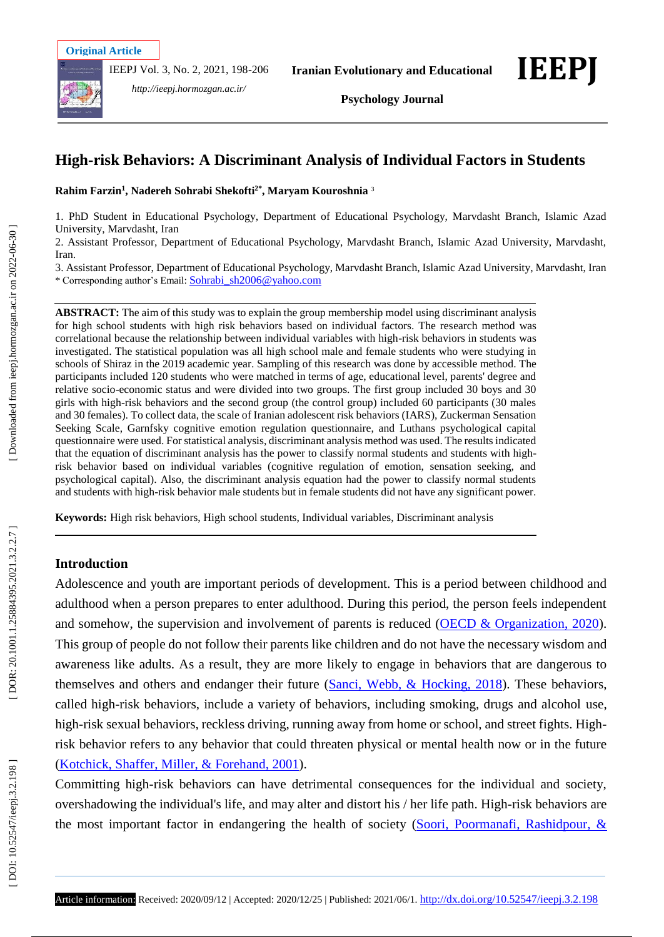IEEPJ Vol. 3, No. 2, 2021, 198 -206



*http://ieepj.hormozgan.ac.ir/*

# **High -risk Behaviors: A Discriminant Analysis of Individual Factors in Students**

**Rahim Farzin 1 , Nadereh Sohrabi Shek ofti2\*, Maryam Kouroshnia**  3

1. PhD Student in Educational Psychology, Department of Educational Psychology, Marvdasht Branch, Islamic Azad University, Marvdasht, Iran

2. Assistant Professor, Department of Educational Psychology, Marvdasht Branch, Islamic Azad University, Marvdasht, Iran.

3. Assistant Professor, Department of Educational Psychology, Marvdasht Branch, Islamic Azad University, Marvdasht, Iran \* Corresponding author's Email: [Sohrabi\\_sh2006@yahoo.com](mailto:Sohrabi_sh2006@yahoo.com)

**ABSTRACT:** The aim of this study was to explain the group membership model using discriminant analysis for high school students with high risk behaviors based on individual factors. The research method was correlational because the relationship between individual variables with high -risk behaviors in students was investigated. The statistical population was all high school male and female students who were studying in schools of Shiraz in the 2019 academic year. Sampling of this research was done by accessible method. The participants included 120 students who were matched in terms of age, educational level, parents' degree and relative socio -economic status and were divided into two groups. The first group included 30 boys and 30 girls with high -risk behaviors and the second group (the control group) included 60 participants (30 males and 30 females). To collect data, the scale of Iranian adolescent risk behaviors (IARS), Zuckerman Sensation Seeking Scale, Garnfsky cognitive emotion regulation questionnaire, and Luthans psychological capital questionnaire were used. For statistical analysis, discriminant analysis method was used. The results indicated that the equation of discriminant analysis has the power to classify normal students and students with high risk behavior based on individual variables (cognitive regulation of emotion, sensation seeking, and psychological capital). Also, the discriminant analysis equation had the power to classify normal students and students with high - risk behavior male students but in female students did not have any significant power.

**Keywords:** High risk behaviors, High school students, Individual variables, Discriminant analysis

# **Introduction**

Adolescence and youth are important periods of development. This is a period between childhood and adulthood when a person prepares to enter adulthood. During this period, the person feels independent and somehow, the supervision and involvement of parents is reduced (OECD & Organization, 2020). This group of people do not follow their parents like children and do not have the necessary wisdom and awareness like adults. As a result, they are more likely to engage in behaviors that are dangerous to themselves and others and endanger their future (Sanci, Webb, & Hocking, 2018). These behaviors, called high -risk behaviors, include a variety of behaviors, including smoking, drugs and alcohol use, high-risk sexual behaviors, reckless driving, running away from home or school, and street fights. Highrisk behavior refers to any behavior that could threaten physical or mental health now or in the future (Kotchick, Shaffer, Miller, & Forehand, 2001).

Committing high -risk behaviors can have detrimental consequences for the individual and society, overshadowing the individual's life, and may alter and distort his / her life path. High -risk behaviors are the most important factor in endangering the health of society (Soori, Poormanafi, Rashidpour, &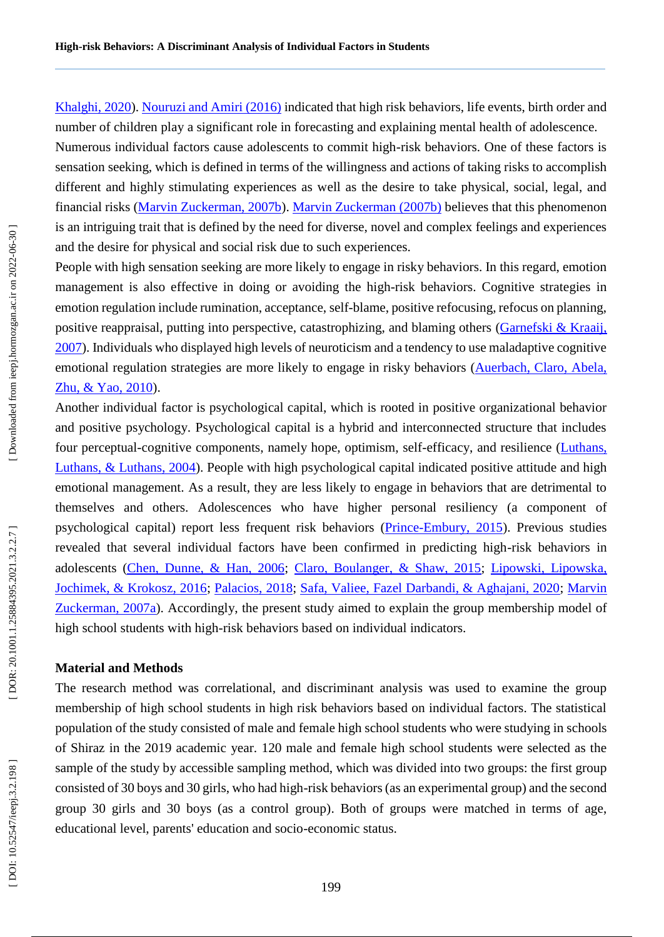Khalghi, 2020). Nouruzi and Amiri (2016) indicated that high risk behaviors, life events, birth order and number of children play a significant role in forecasting and explaining mental health of adolescence. Numerous individual factors cause adolescents to commit high -risk behaviors. One of these factors is sensation seeking, which is defined in terms of the willingness and actions of taking risks to accomplish different and highly stimulating experiences as well as the desire to take physical, social, legal, and financial risks (Marvin Zuckerman, 2007b). Marvin Zuckerman (2007b) believes that this phenomenon is an intriguing trait that is defined by the need for diverse, novel and complex feelings and experiences and the desire for physical and social risk due to such experiences.

People with high sensation seeking are more likely to engage in risky behaviors. In this regard, emotion management is also effective in doing or avoiding the high -risk behaviors. Cognitive strategies in emotion regulation include rumination, acceptance, self-blame, positive refocusing, refocus on planning, positive reappraisal, putting into perspective, catastrophizing, and blaming others (Garnefski & Kraaij, 2007). Individuals who displayed high levels of neuroticism and a tendency to use maladaptive cognitive emotional regulation strategies are more likely to engage in risky behaviors (Auerbach, Claro, Abela, Zhu, & Yao, 2010).

Another individual factor is psychological capital, which is rooted in positive organizational behavior and positive psychology. Psychological capital is a hybrid and interconnected structure that includes four perceptual-cognitive components, namely hope, optimism, self-efficacy, and resilience (Luthans, Luthans, & Luthans, 2004). People with high psychological capital indicated positive attitude and high emotional management. As a result, they are less likely to engage in behaviors that are detrimental to themselves and others. Adolescences who have higher personal resiliency (a component of psychological capital) report less frequent risk behaviors (*Prince-Embury*, 2015). Previous studies revealed that several individual factors have been confirmed in predicting high-risk behaviors in adolescents (Chen, Dunne, & Han, 2006; Claro, Boulanger, & Shaw, 2015; Lipowski, Lipowska, Jochimek, & Krokosz, 2016; Palacios, 2018; Safa, Valiee, Fazel Darbandi, & Aghajani, 2020; Marvin Zuckerman, 2007a). Accordingly, the present study aimed to explain the group membership model of high school students with high -risk behaviors based on individual indicators.

#### **Material and Method s**

The research method was correlational, and discriminant analysis was used to examine the group membership of high school students in high risk behaviors based on individual factors. The statistical population of the study consisted of male and female high school students who were studying in schools of Shiraz in the 2019 academic year. 120 male and female high school students were selected as the sample of the study by accessible sampling method, which was divided into two groups: the first group consisted of 30 boys and 30 girls, who had high -risk behaviors (as an experimental group) and the second group 30 girls and 30 boys (as a control group). Both of groups were matched in terms of age, educational level, parents' education and socio -economic status.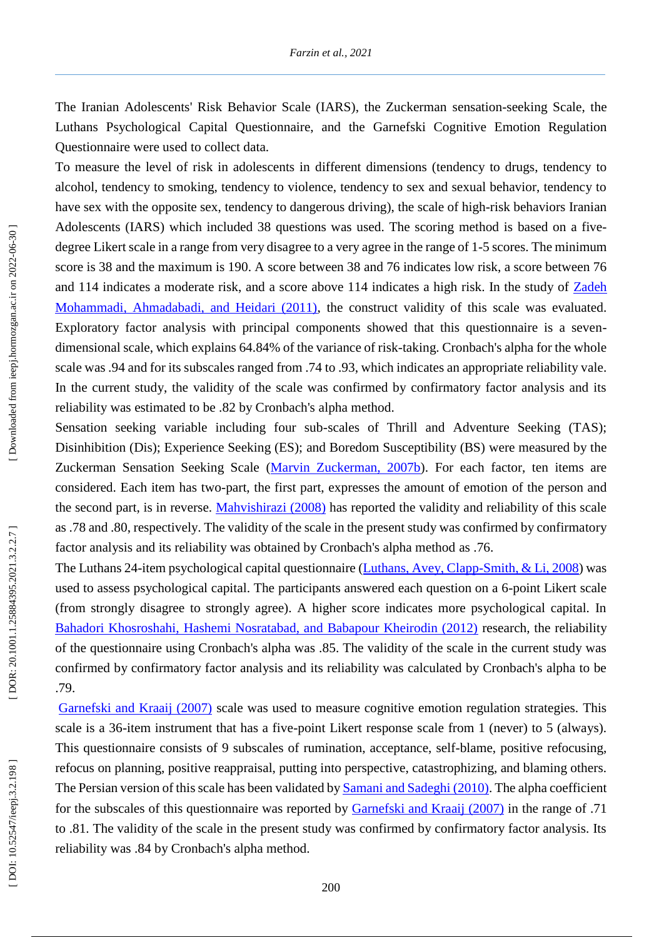The Iranian Adolescents' Risk Behavior Scale (IARS), the Zuckerman sensation -seeking Scale, the Luthans Psychological Capital Questionnaire, and the Garnefski Cognitive Emotion Regulation Questionnaire were used to collect data.

To measure the level of risk in adolescents in different dimensions (tendency to drugs, tendency to alcohol, tendency to smoking, tendency to violence, tendency to sex and sexual behavior, tendency to have sex with the opposite sex, tendency to dangerous driving), the scale of high-risk behaviors Iranian Adolescents (IARS) which included 38 questions was used. The scoring method is based on a five degree Likert scale in a range from very disagree to a very agree in the range of 1 -5 scores. The minimum score is 38 and the maximum is 190. A score between 38 and 76 indicates low risk, a score between 76 and 114 indicates a moderate risk, and a score above 114 indicates a high risk. In the study of Zadeh Mohammadi, Ahmadabadi, and Heidari (2011), the construct validity of this scale was evaluated. Exploratory factor analysis with principal components showed that this questionnaire is a seven dimensional scale, which explains 64.84% of the variance of risk -taking. Cronbach's alpha for the whole scale was .94 and for its subscales ranged from .74 to .93, which indicates an appropriate reliability vale. In the current study, the validity of the scale was confirmed by confirmatory factor analysis and its reliability was estimated to be .82 by Cronbach's alpha method.

Sensation seeking variable including four sub-scales of Thrill and Adventure Seeking (TAS); Disinhibition (Dis); Experience Seeking (ES); and Boredom Susceptibility (BS) were measured by the Zuckerman Sensation Seeking Scale (Marvin Zuckerman, 2007b). For each factor, ten items are considered. Each item has two -part, the first part, expresses the amount of emotion of the person and the second part, is in reverse. Mahvishirazi (2008) has reported the validity and reliability of this scale as .78 and .80, respectively. The validity of the scale in the present study was confirmed by confirmatory factor analysis and its reliability was obtained by Cronbach's alpha method as .76.

The Luthans 24-item psychological capital questionnaire (Luthans, Avey, Clapp-Smith, & Li, 2008) was used to assess psychological capital. The participants answered each question on a 6 -point Likert scale (from strongly disagree to strongly agree). A higher score indicates more psychological capital. In Bahadori Khosroshahi, Hashemi Nosratabad, and Babapour Kheirodin (2012) research, the reliability of the questionnaire using Cronbach's alpha was .85. The validity of the scale in the current study was confirmed by confirmatory factor analysis and its reliability was calculated by Cronbach's alpha to be .79.

Garnefski and Kraaij (2007) scale was used to measure cognitive emotion regulation strategies. This scale is a 36-item instrument that has a five-point Likert response scale from 1 (never) to 5 (always). This questionnaire consists of 9 subscales of rumination, acceptance, self-blame, positive refocusing, refocus on planning, positive reappraisal, putting into perspective, catastrophizing, and blaming others. The Persian version of this scale has been validated by Samani and Sadeghi (2010). The alpha coefficient for the subscales of this questionnaire was reported by Garnefski and Kraaij (2007) in the range of .71 to .81. The validity of the scale in the present study was confirmed by confirmatory factor analysis. Its reliability was .84 by Cronbach's alpha method.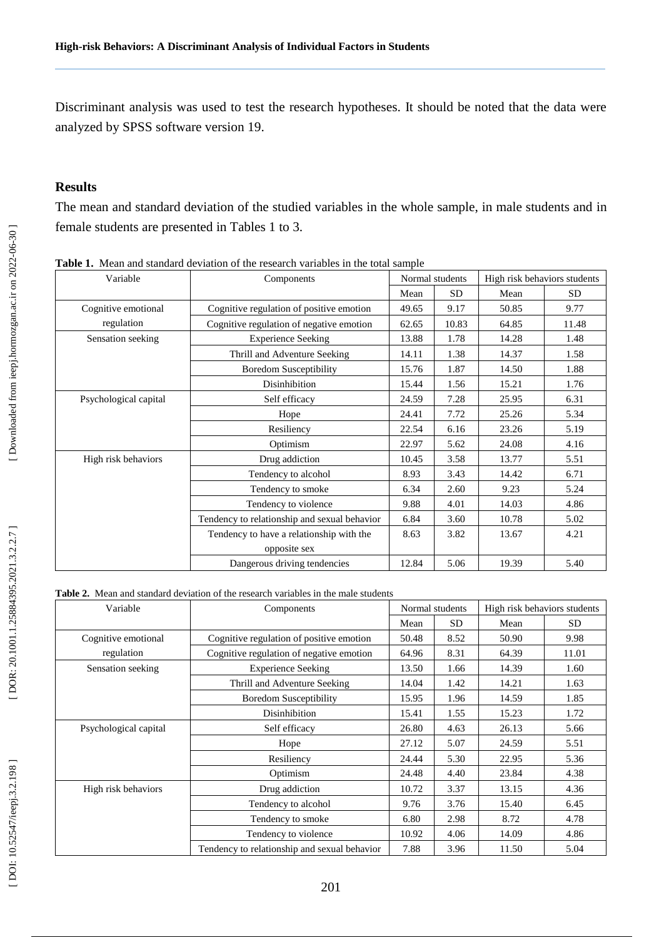Discriminant analysis was used to test the research hypotheses. It should be noted that the data were analyzed by SPSS software version 19.

### **Results**

The mean and standard deviation of the studied variables in the whole sample, in male students and in female students are presented in Tables 1 to 3.

| Variable              | Components                                   | Normal students |           | High risk behaviors students |           |
|-----------------------|----------------------------------------------|-----------------|-----------|------------------------------|-----------|
|                       |                                              | Mean            | <b>SD</b> | Mean                         | <b>SD</b> |
| Cognitive emotional   | Cognitive regulation of positive emotion     | 49.65           | 9.17      | 50.85                        | 9.77      |
| regulation            | Cognitive regulation of negative emotion     | 62.65           | 10.83     | 64.85                        | 11.48     |
| Sensation seeking     | <b>Experience Seeking</b>                    | 13.88           | 1.78      | 14.28                        | 1.48      |
|                       | Thrill and Adventure Seeking                 | 14.11           | 1.38      | 14.37                        | 1.58      |
|                       | <b>Boredom Susceptibility</b>                | 15.76           | 1.87      | 14.50                        | 1.88      |
|                       | Disinhibition                                | 15.44           | 1.56      | 15.21                        | 1.76      |
| Psychological capital | Self efficacy                                | 24.59           | 7.28      | 25.95                        | 6.31      |
|                       | Hope                                         | 24.41           | 7.72      | 25.26                        | 5.34      |
|                       | Resiliency                                   | 22.54           | 6.16      | 23.26                        | 5.19      |
|                       | Optimism                                     | 22.97           | 5.62      | 24.08                        | 4.16      |
| High risk behaviors   | Drug addiction                               | 10.45           | 3.58      | 13.77                        | 5.51      |
|                       | Tendency to alcohol                          | 8.93            | 3.43      | 14.42                        | 6.71      |
|                       | Tendency to smoke                            | 6.34            | 2.60      | 9.23                         | 5.24      |
|                       | Tendency to violence                         | 9.88            | 4.01      | 14.03                        | 4.86      |
|                       | Tendency to relationship and sexual behavior | 6.84            | 3.60      | 10.78                        | 5.02      |
|                       | Tendency to have a relationship with the     | 8.63            | 3.82      | 13.67                        | 4.21      |
|                       | opposite sex                                 |                 |           |                              |           |
|                       | Dangerous driving tendencies                 | 12.84           | 5.06      | 19.39                        | 5.40      |

**Table 1.** Mean and standard deviation of the research variables in the total sample

**Table 2.** Mean and standard deviation of the research variables in the male students

| Variable              | Components                                   | Normal students |      | High risk behaviors students |           |
|-----------------------|----------------------------------------------|-----------------|------|------------------------------|-----------|
|                       |                                              | Mean            | SD.  | Mean                         | <b>SD</b> |
| Cognitive emotional   | Cognitive regulation of positive emotion     | 50.48           | 8.52 | 50.90                        | 9.98      |
| regulation            | Cognitive regulation of negative emotion     | 64.96           | 8.31 | 64.39                        | 11.01     |
| Sensation seeking     | <b>Experience Seeking</b>                    | 13.50           | 1.66 | 14.39                        | 1.60      |
|                       | Thrill and Adventure Seeking                 | 14.04           | 1.42 | 14.21                        | 1.63      |
|                       | <b>Boredom Susceptibility</b>                | 15.95           | 1.96 | 14.59                        | 1.85      |
|                       | Disinhibition                                | 15.41           | 1.55 | 15.23                        | 1.72      |
| Psychological capital | Self efficacy                                | 26.80           | 4.63 | 26.13                        | 5.66      |
|                       | Hope                                         | 27.12           | 5.07 | 24.59                        | 5.51      |
|                       | Resiliency                                   | 24.44           | 5.30 | 22.95                        | 5.36      |
|                       | Optimism                                     | 24.48           | 4.40 | 23.84                        | 4.38      |
| High risk behaviors   | Drug addiction                               | 10.72           | 3.37 | 13.15                        | 4.36      |
|                       | Tendency to alcohol                          | 9.76            | 3.76 | 15.40                        | 6.45      |
|                       | Tendency to smoke                            | 6.80            | 2.98 | 8.72                         | 4.78      |
|                       | Tendency to violence                         | 10.92           | 4.06 | 14.09                        | 4.86      |
|                       | Tendency to relationship and sexual behavior | 7.88            | 3.96 | 11.50                        | 5.04      |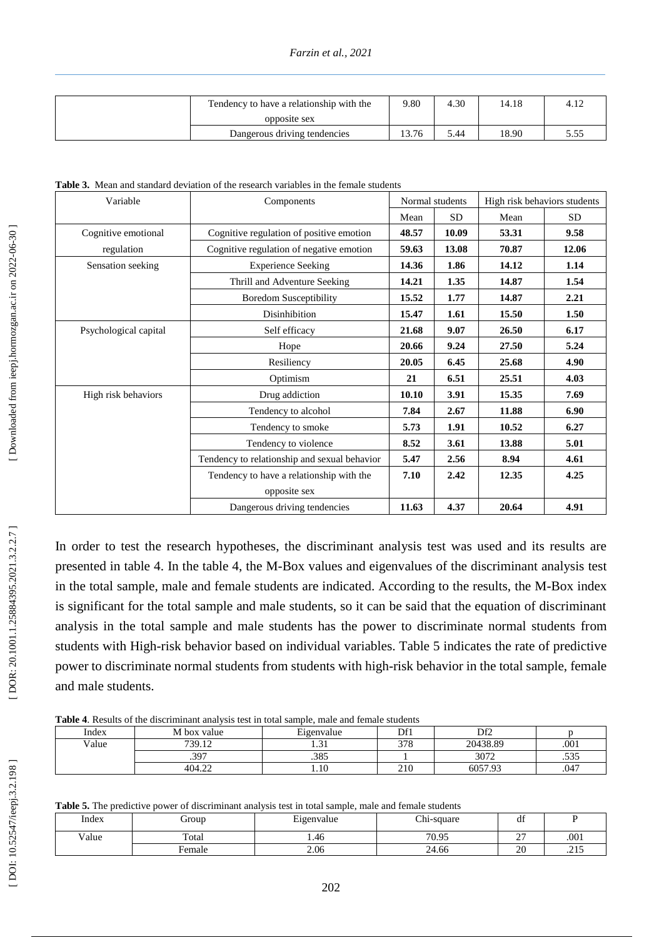| Tendency to have a relationship with the |       | 4.30 | 14.18 | 4.12    |
|------------------------------------------|-------|------|-------|---------|
| opposite sex                             |       |      |       |         |
| Dangerous driving tendencies             | 13.76 | 5.44 | 18.90 | ن ر. ر. |

**Table 3.** Mean and standard deviation of the research variables in the female students

| Variable              | Components                                   | Normal students |           | High risk behaviors students |           |
|-----------------------|----------------------------------------------|-----------------|-----------|------------------------------|-----------|
|                       |                                              | Mean            | <b>SD</b> | Mean                         | <b>SD</b> |
| Cognitive emotional   | Cognitive regulation of positive emotion     | 48.57           | 10.09     | 53.31                        | 9.58      |
| regulation            | Cognitive regulation of negative emotion     | 59.63           | 13.08     | 70.87                        | 12.06     |
| Sensation seeking     | <b>Experience Seeking</b>                    | 14.36           | 1.86      | 14.12                        | 1.14      |
|                       | Thrill and Adventure Seeking                 | 14.21           | 1.35      | 14.87                        | 1.54      |
|                       | <b>Boredom Susceptibility</b>                | 15.52           | 1.77      | 14.87                        | 2.21      |
|                       | Disinhibition                                | 15.47           | 1.61      | 15.50                        | 1.50      |
| Psychological capital | Self efficacy                                | 21.68           | 9.07      | 26.50                        | 6.17      |
|                       | Hope                                         | 20.66           | 9.24      | 27.50                        | 5.24      |
|                       | Resiliency                                   |                 | 6.45      | 25.68                        | 4.90      |
|                       | Optimism                                     | 21              | 6.51      | 25.51                        | 4.03      |
| High risk behaviors   | Drug addiction                               | 10.10           | 3.91      | 15.35                        | 7.69      |
|                       | Tendency to alcohol                          | 7.84            | 2.67      | 11.88                        | 6.90      |
|                       | Tendency to smoke                            | 5.73            | 1.91      | 10.52                        | 6.27      |
|                       | Tendency to violence                         | 8.52            | 3.61      | 13.88                        | 5.01      |
|                       | Tendency to relationship and sexual behavior | 5.47            | 2.56      | 8.94                         | 4.61      |
|                       | Tendency to have a relationship with the     | 7.10            | 2.42      | 12.35                        | 4.25      |
|                       | opposite sex                                 |                 |           |                              |           |
|                       | Dangerous driving tendencies                 | 11.63           | 4.37      | 20.64                        | 4.91      |

In order to test the research hypotheses, the discriminant analysis test was used and its results are presented in table 4. In the table 4, the M -Box values and eigenvalues of the discriminant analysis test in the total sample, male and female students are indicated. According to the results, the M -Box index is significant for the total sample and male students, so it can be said that the equation of discriminant analysis in the total sample and male students has the power to discriminate normal students from students with High-risk behavior based on individual variables. Table 5 indicates the rate of predictive power to discriminate normal students from students with high -risk behavior in the total sample, female and male students.

**Table 4**. Results of the discriminant analysis test in total sample, male and female students

| ---------------------- |             |                            |                    |          |      |
|------------------------|-------------|----------------------------|--------------------|----------|------|
| Index                  | M box value | $\mathbf{r}$<br>Eigenvalue | Df1                | Df2      |      |
| Value                  | 739.12      | 1.JI                       | 270<br><i>JI</i> 0 | 20438.89 | .001 |
|                        | .397        | 205<br>.000                |                    | 3072     | .535 |
|                        | 404.22      | 1.10                       | 210                | 6057.9?  | .047 |

**Table 5.** The predictive power of discriminant analysis test in total sample, male and female students

|       | - WATER OF THE PLOCHECH IS POTTED OF GARDELIMING WING JULY VER AN COUNTRYING MINIS WILL ISLAME DURING WING |                            |            |                      |      |  |  |
|-------|------------------------------------------------------------------------------------------------------------|----------------------------|------------|----------------------|------|--|--|
| Index | droup                                                                                                      | $\mathbf{r}$<br>Eigenvalue | Chi-square | $\cdot$ $\cdot$<br>u |      |  |  |
| Value | Total                                                                                                      | 1.46                       | 70.95      | ~~<br>∼              | .001 |  |  |
|       | Female                                                                                                     | 2.06                       | 24.66      | 20                   | ب ک  |  |  |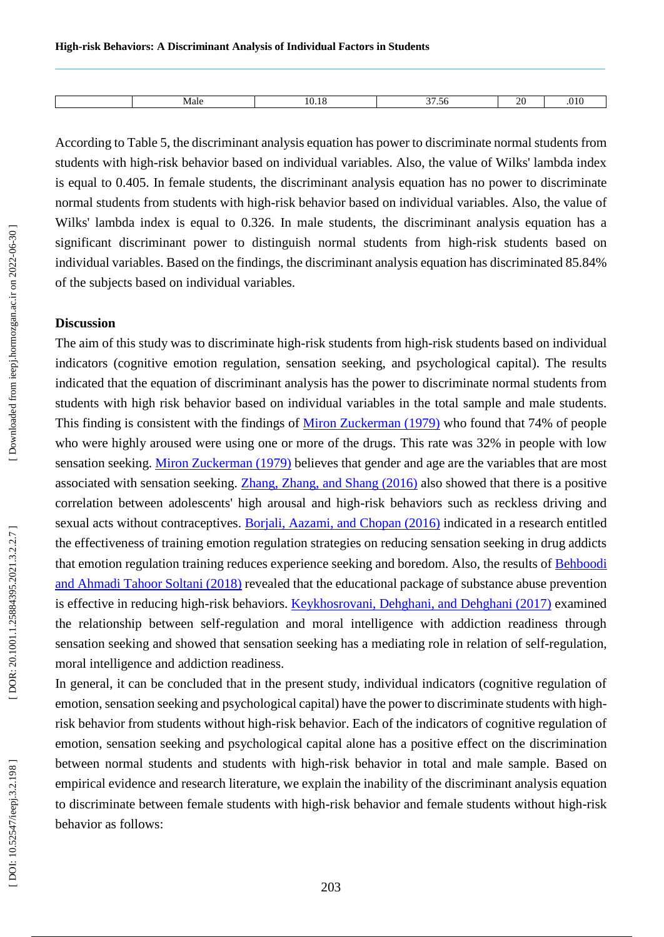| viale | ١0 | $\sim$<br>$\sim$<br>. | $\gamma$<br>~ |  |
|-------|----|-----------------------|---------------|--|

According to Table 5, the discriminant analysis equation has power to discriminate normal students from students with high -risk behavior based on individual variables. Also, the value of Wilks' lambda index is equal to 0.405. In female students, the discriminant analysis equation has no power to discriminate normal students from students with high -risk behavior based on individual variables. Also, the value of Wilks' lambda index is equal to 0.326. In male students, the discriminant analysis equation has a significant discriminant power to distinguish normal students from high -risk students based on individual variables. Based on the findings, the discriminant analysis equation has discriminated 85.84% of the subjects based on individual variables.

#### **Discussion**

The aim of this study was to discriminate high-risk students from high-risk students based on individual indicators (cognitive emotion regulation, sensation seeking, and psychological capital). The results indicated that the equation of discriminant analysis has the power to discriminate normal students from students with high risk behavior based on individual variables in the total sample and male students. This finding is consistent with the findings of Miron Zuckerman (1979) who found that 74% of people who were highly aroused were using one or more of the drugs. This rate was 32% in people with low sensation seeking. Miron Zuckerman (1979) believes that gender and age are the variables that are most associated with sensation seeking. Zhang, Zhang, and Shang (2016) also showed that there is a positive correlation between adolescents' high arousal and high -risk behaviors such as reckless driving and sexual acts without contraceptives. Borjali, Aazami, and Chopan (2016) indicated in a research entitled the effectiveness of training emotion regulation strategies on reducing sensation seeking in drug addicts that emotion regulation training reduces experience seeking and boredom. Also, the results of **Behboodi** and Ahmadi Tahoor Soltani (2018) revealed that the educational package of substance abuse prevention is effective in reducing high-risk behaviors. Keykhosrovani, Dehghani, and Dehghani (2017) examined the relationship between self-regulation and moral intelligence with addiction readiness through sensation seeking and showed that sensation seeking has a mediating role in relation of self-regulation, moral intelligence and addiction readiness.

In general, it can be concluded that in the present study, individual indicators (cognitive regulation of emotion, sensation seeking and psychological capital) have the power to discriminate students with high risk behavior from students without high -risk behavior. Each of the indicators of cognitive regulation of emotion, sensation seeking and psychological capital alone has a positive effect on the discrimination between normal students and students with high -risk behavior in total and male sample. Based on empirical evidence and research literature, we explain the inability of the discriminant analysis equation to discriminate between female students with high -risk behavior and female students without high -risk behavior as follows: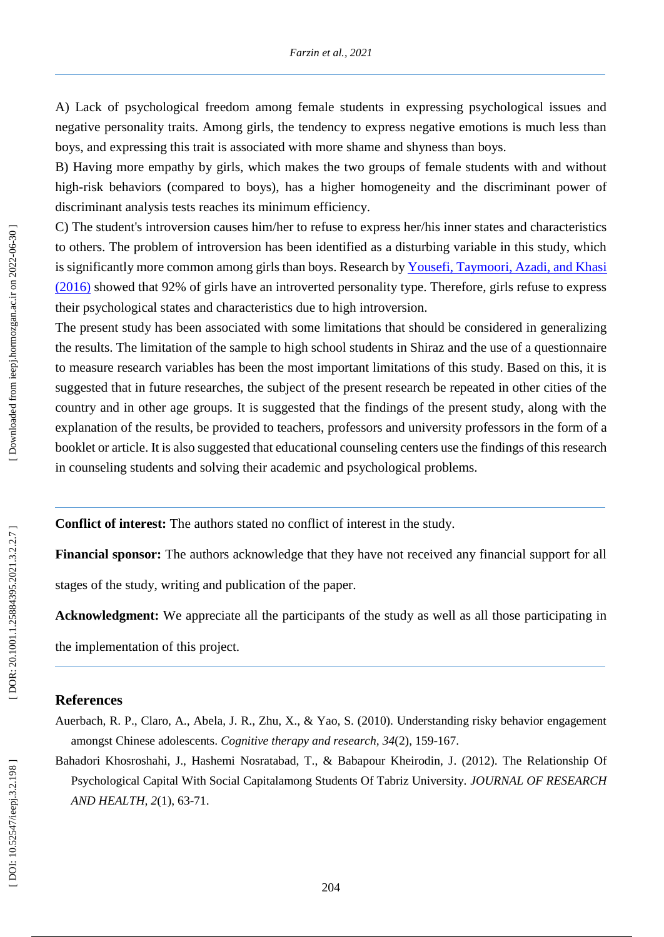A) Lack of psychological freedom among female students in expressing psychological issues and negative personality traits. Among girls, the tendency to express negative emotions is much less than boys, and expressing this trait is associated with more shame and shyness than boys.

B) Having more empathy by girls, which makes the two groups of female students with and without high -risk behaviors (compared to boys) , has a higher homogeneity and the discriminant power of discriminant analysis tests reaches its minimum efficiency.

C) The student's introversion causes him/her to refuse to express her/his inner states and characteristics to others. The problem of introversion has been identified as a disturbing variable in this study, which is significantly more common among girls than boys. Research by Yousefi, Taymoori, Azadi, and Khasi (2016) showed that 92% of girls have an introverted personality type. Therefore, girls refuse to express their psychological states and characteristics due to high introversion.

The present study has been associated with some limitations that should be considered in generalizing the results. The limitation of the sample to high school students in Shiraz and the use of a questionnaire to measure research variables has been the most important limitations of this study. Based on this, it is suggested that in future researches, the subject of the present research be repeated in other cities of the country and in other age groups. It is suggested that the findings of the present study, along with the explanation of the results, be provided to teachers, professors and university professors in the form of a booklet or article. It is also suggested that educational counseling centers use the findings of this research in counseling students and solving their academic and psychological problems.

**Conflict of interest:** The authors state d no conflict of interest in the study.

**Financial sponsor:** The authors acknowledge that they have not received any financial support for all stages of the study, writing and publication of the paper.

**Acknowledgment:** We appreciate all the participants of the study as well as all those participating in the implementation of this project.

## **References**

Auerbach, R. P., Claro, A., Abela, J. R., Zhu, X., & Yao, S. (2010). Understanding risky behavior engagement amongst Chinese adolescents. *Cognitive therapy and research, 34*(2), 159 -167.

Bahadori Khosroshahi, J., Hashemi Nosratabad, T., & Babapour Kheirodin, J. (2012). The Relationship Of Psychological Capital With Social Capitalamong Students Of Tabriz University. *JOURNAL OF RESEARCH AND HEALTH, 2*(1), 63 -71.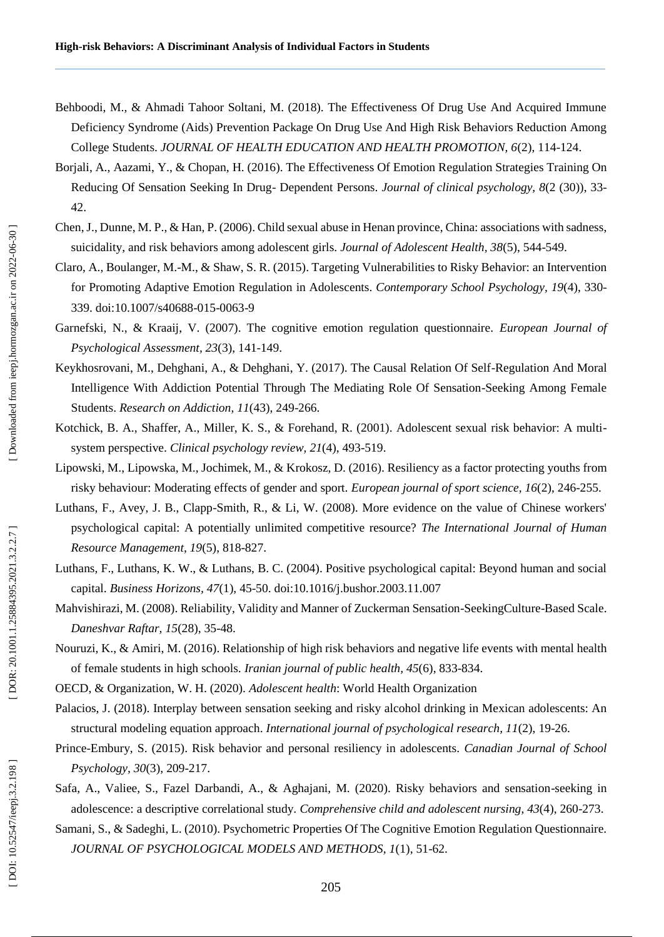- Behboodi, M., & Ahmadi Tahoor Soltani, M. (2018). The Effectiveness Of Drug Use And Acquired Immune Deficiency Syndrome (Aids) Prevention Package On Drug Use And High Risk Behaviors Reduction Among College Students. *JOURNAL OF HEALTH EDUCATION AND HEALTH PROMOTION, 6*(2), 114 -124.
- Borjali, A., Aazami, Y., & Chopan, H. (2016). The Effectiveness Of Emotion Regulation Strategies Training On Reducing Of Sensation Seeking In Drug- Dependent Persons. *Journal of clinical psychology*, 8(2 (30)), 33-42.
- Chen, J., Dunne, M. P., & Han, P. (2006). Child sexual abuse in Henan province, China: associations with sadness, suicidality, and risk behaviors among adolescent girls. *Journal of Adolescent Health, 38*(5), 544 -549.
- Claro, A., Boulanger, M.-M., & Shaw, S. R. (2015). Targeting Vulnerabilities to Risky Behavior: an Intervention for Promoting Adaptive Emotion Regulation in Adolescents. *Contemporary School Psychology, 19*(4), 330 - 339. doi:10.1007/s40688-015-0063-9
- Garnefski, N., & Kraaij, V. (2007). The cognitive emotion regulation questionnaire. *European Journal of Psychological Assessment, 23*(3), 141 -149.
- Keykhosrovani, M., Dehghani, A., & Dehghani, Y. (2017). The Causal Relation Of Self -Regulation And Moral Intelligence With Addiction Potential Through The Mediating Role Of Sensation -Seeking Among Female Students. *Research on Addiction, 11*(43), 249-266.
- Kotchick, B. A., Shaffer, A., Miller, K. S., & Forehand, R. (2001). Adolescent sexual risk behavior: A multisystem perspective. *Clinical psychology review, 21*(4), 493 -519.
- Lipowski, M., Lipowska, M., Jochimek, M., & Krokosz, D. (2016). Resiliency as a factor protecting youths from risky behaviour: Moderating effects of gender and sport. *European journal of sport science, 16*(2), 246 -255.
- Luthans, F., Avey, J. B., Clapp -Smith, R., & Li, W. (2008). More evidence on the value of Chinese workers' psychological capital: A potentially unlimited competitive resource? *The International Journal of Human Resource Management, 19*(5), 818 -827.
- Luthans, F., Luthans, K. W., & Luthans, B. C. (2004). Positive psychological capital: Beyond human and social capital. *Business Horizons, 47* (1), 45 -50. doi:10.1016/j.bushor.2003.11.007
- Mahvishirazi, M. (2008). Reliability, Validity and Manner of Zuckerman Sensation -SeekingCulture -Based Scale. *Daneshvar Raftar, 15*(28), 35 -48.
- Nouruzi, K., & Amiri, M. (2016). Relationship of high risk behaviors and negative life events with mental health of female students in high schools. *Iranian journal of public health, 45*(6), 833 -834.
- OECD, & Organization, W. H. (2020). *Adolescent health*: World Health Organization
- Palacios, J. (2018). Interplay between sensation seeking and risky alcohol drinking in Mexican adolescents: An structural modeling equation approach. *International journal of psychological research, 11*(2), 19 -26.
- Prince -Embury, S. (2015). Risk behavior and personal resiliency in adolescents. *Canadian Journal of School Psychology, 30*(3), 209 -217.
- Safa, A., Valiee, S., Fazel Darbandi, A., & Aghajani, M. (2020). Risky behaviors and sensation -seeking in adolescence: a descriptive correlational study. *Comprehensive child and adolescent nursing, 43*(4), 260 -273.
- Samani, S., & Sadeghi, L. (2010). Psychometric Properties Of The Cognitive Emotion Regulation Questionnaire. *JOURNAL OF PSYCHOLOGICAL MODELS AND METHODS, 1*(1), 51 -62.